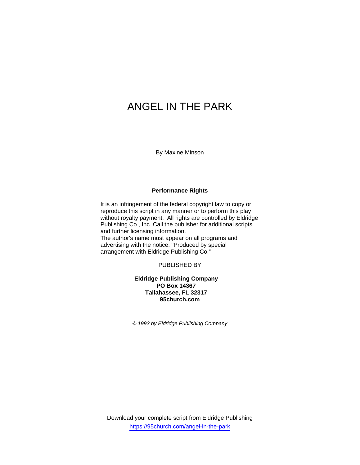# ANGEL IN THE PARK

By Maxine Minson

### **Performance Rights**

It is an infringement of the federal copyright law to copy or reproduce this script in any manner or to perform this play without royalty payment. All rights are controlled by Eldridge Publishing Co., Inc. Call the publisher for additional scripts and further licensing information. The author's name must appear on all programs and advertising with the notice: "Produced by special arrangement with Eldridge Publishing Co."

PUBLISHED BY

## **Eldridge Publishing Company PO Box 14367 Tallahassee, FL 32317 95church.com**

*© 1993 by Eldridge Publishing Company*

Download your complete script from Eldridge Publishing https://95church.com/angel-in-the-park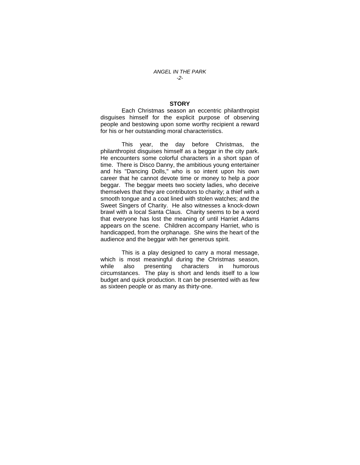#### **STORY**

 Each Christmas season an eccentric philanthropist disguises himself for the explicit purpose of observing people and bestowing upon some worthy recipient a reward for his or her outstanding moral characteristics.

 This year, the day before Christmas, the philanthropist disguises himself as a beggar in the city park. He encounters some colorful characters in a short span of time. There is Disco Danny, the ambitious young entertainer and his "Dancing Dolls," who is so intent upon his own career that he cannot devote time or money to help a poor beggar. The beggar meets two society ladies, who deceive themselves that they are contributors to charity; a thief with a smooth tongue and a coat lined with stolen watches; and the Sweet Singers of Charity. He also witnesses a knock-down brawl with a local Santa Claus. Charity seems to be a word that everyone has lost the meaning of until Harriet Adams appears on the scene. Children accompany Harriet, who is handicapped, from the orphanage. She wins the heart of the audience and the beggar with her generous spirit.

 This is a play designed to carry a moral message, which is most meaningful during the Christmas season, while also presenting characters in humorous circumstances. The play is short and lends itself to a low budget and quick production. It can be presented with as few as sixteen people or as many as thirty-one.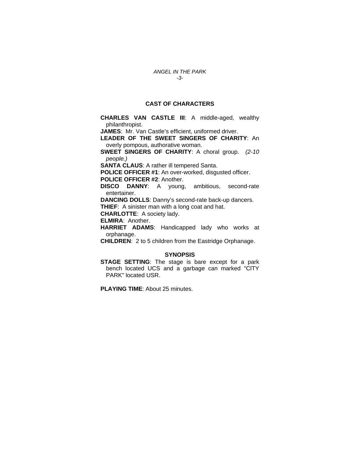## **CAST OF CHARACTERS**

**CHARLES VAN CASTLE III**: A middle-aged, wealthy philanthropist.

**JAMES**: Mr. Van Castle's efficient, uniformed driver.

**LEADER OF THE SWEET SINGERS OF CHARITY**: An overly pompous, authorative woman.

**SWEET SINGERS OF CHARITY**: A choral group. *(2-10 people.)* 

**SANTA CLAUS**: A rather ill tempered Santa.

**POLICE OFFICER #1**: An over-worked, disgusted officer.

**POLICE OFFICER #2**: Another.

**DISCO DANNY**: A young, ambitious, second-rate entertainer.

**DANCING DOLLS**: Danny's second-rate back-up dancers. **THIEF**: A sinister man with a long coat and hat.

**CHARLOTTE**: A society lady.

**ELMIRA**: Another.

**HARRIET ADAMS**: Handicapped lady who works at orphanage.

**CHILDREN**: 2 to 5 children from the Eastridge Orphanage.

### **SYNOPSIS**

**STAGE SETTING**: The stage is bare except for a park bench located UCS and a garbage can marked "ClTY PARK" located USR.

**PLAYING TIME**: About 25 minutes.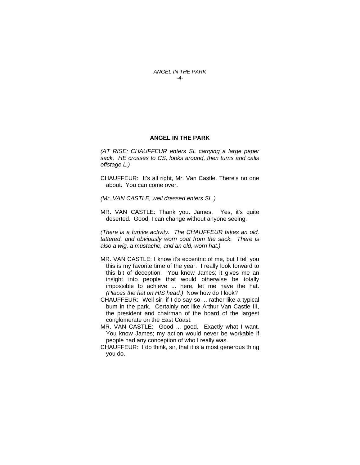*ANGEL IN THE PARK -4-* 

#### **ANGEL IN THE PARK**

*(AT RISE: CHAUFFEUR enters SL carrying a large paper sack. HE crosses to CS, looks around, then turns and calls offstage L.)* 

- CHAUFFEUR: It's all right, Mr. Van Castle. There's no one about. You can come over.
- *(Mr. VAN CASTLE, well dressed enters SL.)*
- MR. VAN CASTLE: Thank you. James. Yes, it's quite deserted. Good, I can change without anyone seeing.

*(There is a furtive activity. The CHAUFFEUR takes an old, tattered, and obviously worn coat from the sack. There is also a wig, a mustache, and an old, worn hat.)* 

- MR. VAN CASTLE: I know it's eccentric of me, but I tell you this is my favorite time of the year. I really look forward to this bit of deception. You know James; it gives me an insight into people that would otherwise be totally impossible to achieve ... here, let me have the hat. *(Places the hat on HIS head.)* Now how do I look?
- CHAUFFEUR: Well sir, if I do say so ... rather like a typical bum in the park. Certainly not like Arthur Van Castle III, the president and chairman of the board of the largest conglomerate on the East Coast.
- MR. VAN CASTLE: Good ... good. Exactly what I want. You know James; my action would never be workable if people had any conception of who I really was.
- CHAUFFEUR: I do think, sir, that it is a most generous thing you do.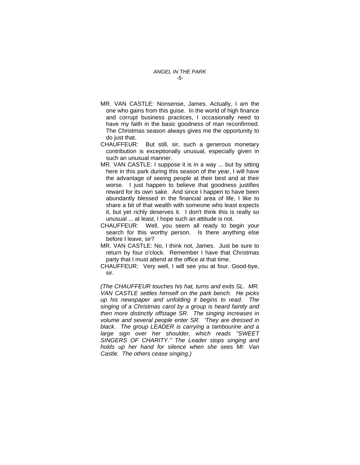#### *ANGEL IN THE PARK -5-*

- MR. VAN CASTLE: Nonsense, James. Actually, I am the one who gains from this guise. In the world of high finance and corrupt business practices, I occasionally need to have my faith in the basic goodness of man reconfirmed. The Christmas season always gives me the opportunity to do just that.
- CHAUFFEUR: But still, sir, such a generous monetary contribution is exceptionally unusual, especially given in such an unusual manner.
- MR. VAN CASTLE: I suppose it is in a way ... but by sitting here in this park during this season of the year, I will have the advantage of seeing people at their best and at their worse. I just happen to believe that goodness justifies reward for its own sake. And since I happen to have been abundantly blessed in the financial area of life, I like to share a bit of that wealth with someone who least expects it, but yet richly deserves it. I don't think this is really so unusual ... at least, I hope such an attitude is not.
- CHAUFFEUR: Well, you seem all ready to begin your search for this worthy person. Is there anything else before I leave, sir?
- MR. VAN CASTLE: No, I think not, James. Just be sure to return by four o'clock. Remember I have that Christmas party that I must attend at the office at that time.
- CHAUFFEUR: Very well, I will see you at four. Good-bye, sir.

*(The CHAUFFEUR touches his hat, turns and exits SL. MR. VAN CASTLE settles himself on the park bench. He picks up his newspaper and unfolding it begins to read. The singing of a Christmas carol by a group is heard faintly and then more distinctly offstage SR. The singing increases in volume and several people enter SR. 'They are dressed in black. The group LEADER is carrying a tambourine and a large sign over her shoulder, which reads "SWEET SINGERS OF CHARITY." The Leader stops singing and holds up her hand for silence when she sees Mr. Van Castle. The others cease singing.)*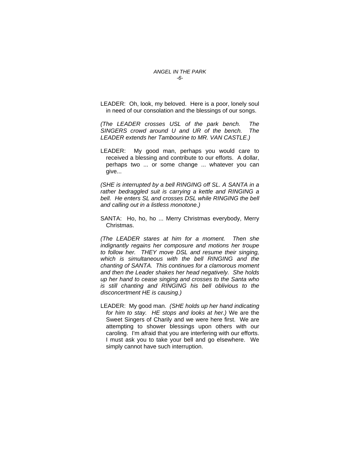LEADER: Oh, look, my beloved. Here is a poor, lonely soul in need of our consolation and the blessings of our songs.

*(The LEADER crosses USL of the park bench. The SINGERS crowd around U and UR of the bench. The LEADER extends her Tambourine to MR. VAN CASTLE.)* 

LEADER: My good man, perhaps you would care to received a blessing and contribute to our efforts. A dollar, perhaps two ... or some change ... whatever you can give...

*(SHE is interrupted by a bell RINGING off SL. A SANTA in a rather bedraggled suit is carrying a kettle and RINGING a bell. He enters SL and crosses DSL while RINGING the bell and calling out in a listless monotone.)* 

SANTA: Ho, ho, ho ... Merry Christmas everybody, Merry Christmas.

*(The LEADER stares at him for a moment. Then she indignantly regains her composure and motions her troupe to follow her. THEY move DSL and resume their singing, which is simultaneous with the bell RINGING and the chanting of SANTA. This continues for a clamorous moment and then the Leader shakes her head negatively. She holds up her hand to cease singing and crosses to the Santa who is still chanting and RINGING his bell oblivious to the disconcertment HE is causing.)* 

LEADER: My good man. *(SHE holds up her hand indicating for him to stay. HE stops and looks at her.)* We are the Sweet Singers of Charily and we were here first. We are attempting to shower blessings upon others with our caroling. I'm afraid that you are interfering with our efforts. I must ask you to take your bell and go elsewhere. We simply cannot have such interruption.